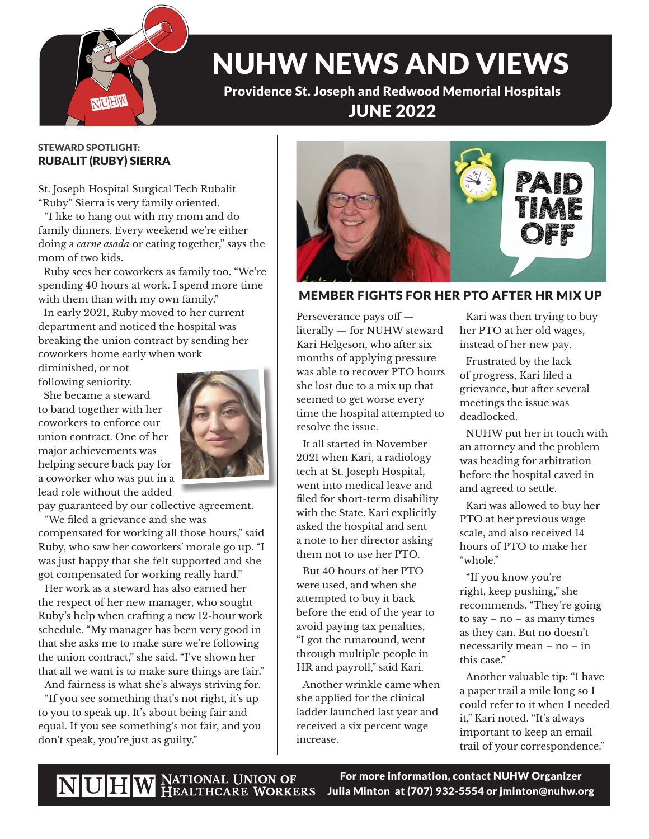

## NUHW NEWS AND VIEWS

Providence St. Joseph and Redwood Memorial Hospitals JUNE 2022

#### STEWARD SPOTLIGHT: RUBALIT (RUBY) SIERRA

St. Joseph Hospital Surgical Tech Rubalit "Ruby" Sierra is very family oriented.

"I like to hang out with my mom and do family dinners. Every weekend we're either doing a *carne asada* or eating together," says the mom of two kids.

 Ruby sees her coworkers as family too. "We're spending 40 hours at work. I spend more time with them than with my own family."

 In early 2021, Ruby moved to her current department and noticed the hospital was breaking the union contract by sending her coworkers home early when work

diminished, or not following seniority.

 She became a steward to band together with her coworkers to enforce our union contract. One of her major achievements was helping secure back pay for a coworker who was put in a lead role without the added



pay guaranteed by our collective agreement.

"We filed a grievance and she was compensated for working all those hours," said Ruby, who saw her coworkers' morale go up. "I was just happy that she felt supported and she got compensated for working really hard."

Her work as a steward has also earned her the respect of her new manager, who sought Ruby's help when crafting a new 12-hour work schedule. "My manager has been very good in that she asks me to make sure we're following the union contract," she said. "I've shown her that all we want is to make sure things are fair."

And fairness is what she's always striving for.

"If you see something that's not right, it's up to you to speak up. It's about being fair and equal. If you see something's not fair, and you don't speak, you're just as guilty."



#### MEMBER FIGHTS FOR HER PTO AFTER HR MIX UP

Perseverance pays off literally — for NUHW steward Kari Helgeson, who after six months of applying pressure was able to recover PTO hours she lost due to a mix up that seemed to get worse every time the hospital attempted to resolve the issue.

It all started in November 2021 when Kari, a radiology tech at St. Joseph Hospital, went into medical leave and filed for short-term disability with the State. Kari explicitly asked the hospital and sent a note to her director asking them not to use her PTO.

But 40 hours of her PTO were used, and when she attempted to buy it back before the end of the year to avoid paying tax penalties, "I got the runaround, went through multiple people in HR and payroll," said Kari.

Another wrinkle came when she applied for the clinical ladder launched last year and received a six percent wage increase.

Kari was then trying to buy her PTO at her old wages, instead of her new pay.

Frustrated by the lack of progress, Kari filed a grievance, but after several meetings the issue was deadlocked.

NUHW put her in touch with an attorney and the problem was heading for arbitration before the hospital caved in and agreed to settle.

Kari was allowed to buy her PTO at her previous wage scale, and also received 14 hours of PTO to make her "whole."

"If you know you're right, keep pushing," she recommends. "They're going to say – no – as many times as they can. But no doesn't necessarily mean – no – in this case."

Another valuable tip: "I have a paper trail a mile long so I could refer to it when I needed it," Kari noted. "It's always important to keep an email trail of your correspondence."